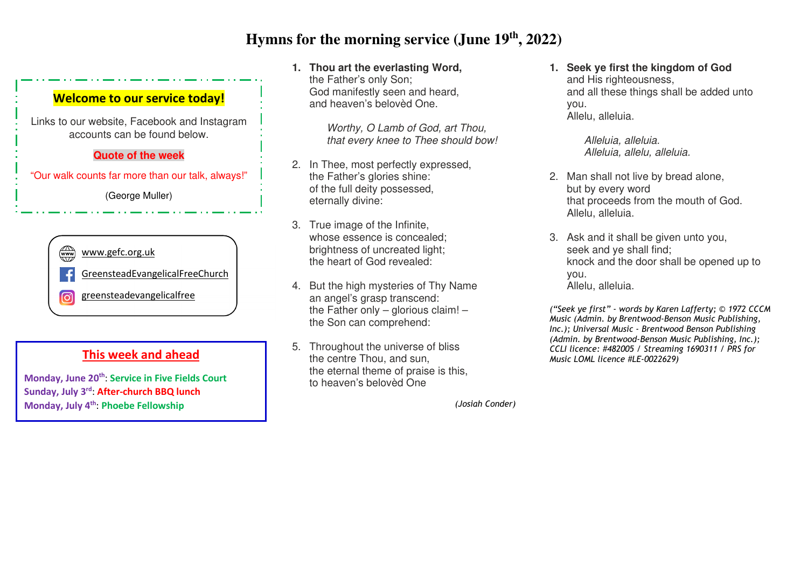# **Hymns for the morning service (June 19th, 2022)**

### **Welcome to our service today!**

Links to our website, Facebook and Instagram accounts can be found below.

#### **Quote of the week**

"Our walk counts far more than our talk, always!"

(George Muller)

 $\binom{1}{x+y}$ www.gefc.org.uk GreensteadEvangelicalFreeChurch greensteadevangelicalfree ெ

### **This week and ahead**

**Monday, June 20th**: **Service in Five Fields Court Sunday, July 3rd**: **After-church BBQ lunchMonday, July 4th**: **Phoebe Fellowship** 

**1. Thou art the everlasting Word,** the Father's only Son; God manifestly seen and heard, and heaven's belovèd One.

> Worthy, O Lamb of God, art Thou, that every knee to Thee should bow!

- 2. In Thee, most perfectly expressed, the Father's glories shine: of the full deity possessed, eternally divine:
- 3. True image of the Infinite, whose essence is concealed; brightness of uncreated light; the heart of God revealed:
- 4. But the high mysteries of Thy Name an angel's grasp transcend: the Father only – glorious claim! – the Son can comprehend:
- 5. Throughout the universe of bliss the centre Thou, and sun, the eternal theme of praise is this, to heaven's belovèd One
	- *(Josiah Conder)*

**1. Seek ye first the kingdom of God** and His righteousness, and all these things shall be added unto you. Allelu, alleluia.

> Alleluia, alleluia. Alleluia, allelu, alleluia.

- 2. Man shall not live by bread alone, but by every word that proceeds from the mouth of God. Allelu, alleluia.
- 3. Ask and it shall be given unto you, seek and ye shall find; knock and the door shall be opened up to you. Allelu, alleluia.

*("Seek ye first" - words by Karen Lafferty; © 1972 CCCM Music (Admin. by Brentwood-Benson Music Publishing,Inc.); Universal Music - Brentwood Benson Publishing (Admin. by Brentwood-Benson Music Publishing, Inc.); CCLI licence: #482005 / Streaming 1690311 / PRS forMusic LOML licence #LE-0022629)*